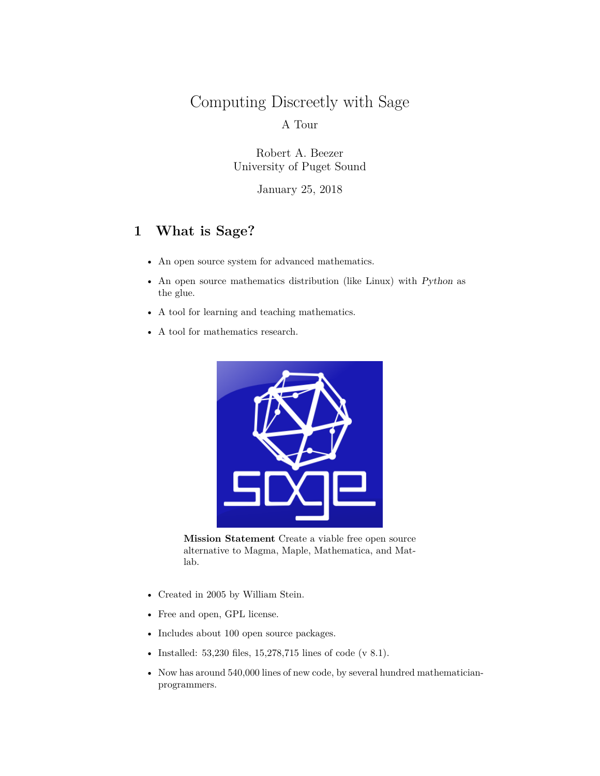# Computing Discreetly with Sage A Tour

Robert A. Beezer University of Puget Sound

January 25, 2018

# **1 What is Sage?**

- An open source system for advanced mathematics.
- An open source mathematics distribution (like Linux) with *Python* as the glue.
- A tool for learning and teaching mathematics.
- A tool for mathematics research.



**Mission Statement** Create a viable free open source alternative to Magma, Maple, Mathematica, and Matlab.

- Created in 2005 by William Stein.
- Free and open, GPL license.
- Includes about 100 open source packages.
- Installed: 53,230 files, 15,278,715 lines of code (v 8.1).
- Now has around 540,000 lines of new code, by several hundred mathematicianprogrammers.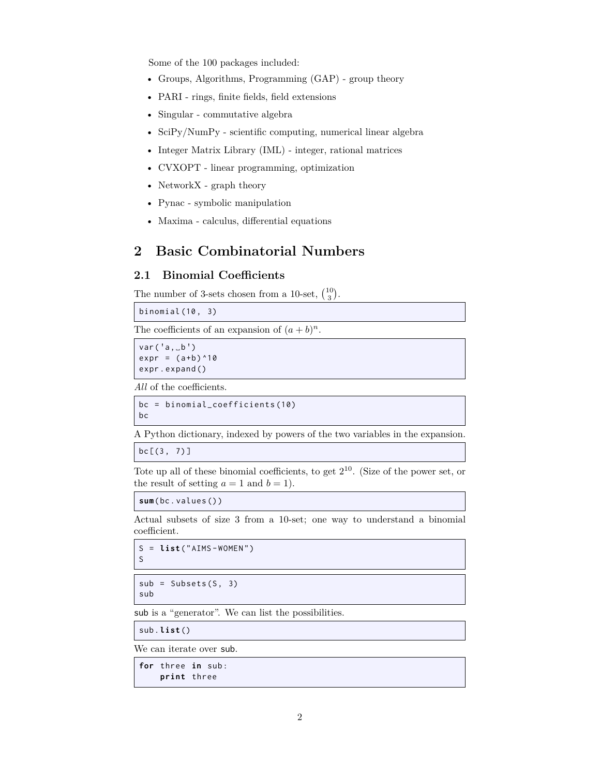Some of the 100 packages included:

- Groups, Algorithms, Programming (GAP) group theory
- PARI rings, finite fields, field extensions
- Singular commutative algebra
- SciPy/NumPy scientific computing, numerical linear algebra
- Integer Matrix Library (IML) integer, rational matrices
- CVXOPT linear programming, optimization
- NetworkX graph theory
- Pynac symbolic manipulation
- Maxima calculus, differential equations

# **2 Basic Combinatorial Numbers**

### **2.1 Binomial Coefficients**

The number of 3-sets chosen from a 10-set,  $\binom{10}{3}$ .

binomial (10 , 3)

The coefficients of an expansion of  $(a + b)^n$ .

 $var('a, \_b')$  $expr = (a+b)^{10}$ expr . expand ()

*All* of the coefficients.

bc = binomial\_coefficients (10) bc

A Python dictionary, indexed by powers of the two variables in the expansion.

 $bc[[3, 7)]$ 

Tote up all of these binomial coefficients, to get 2 <sup>10</sup>. (Size of the power set, or the result of setting  $a = 1$  and  $b = 1$ .

**sum**( bc . values () )

Actual subsets of size 3 from a 10-set; one way to understand a binomial coefficient.

S = **list** (" AIMS - WOMEN " ) S

```
sub = Subsets(S, 3)sub
```
sub is a "generator". We can list the possibilities.

sub . **list** ()

We can iterate over sub.

```
for three in sub :
    print three
```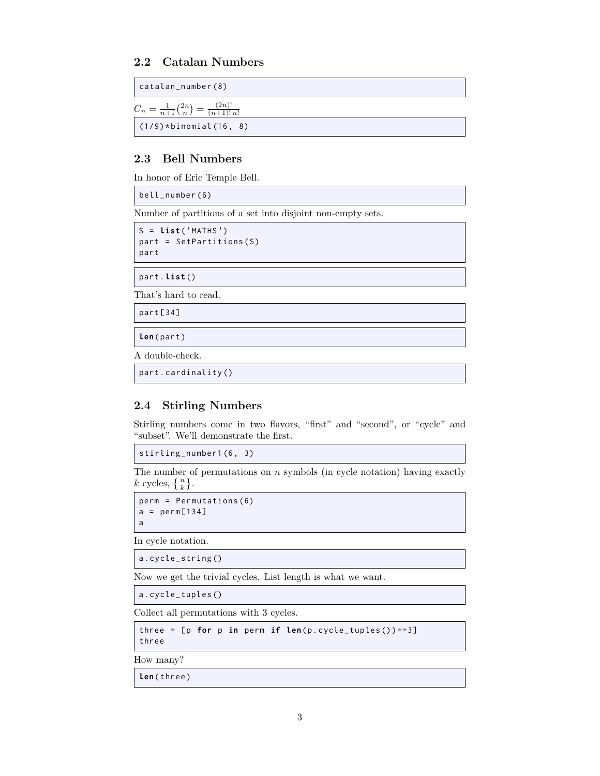# **2.2 Catalan Numbers**

| $\vert$ catalan_number(8)                                         |
|-------------------------------------------------------------------|
| $C_n = \frac{1}{n+1} {2n \choose n} = \frac{(2n)!}{(n+1)! \, n!}$ |
| $(1/9) * binomial(16, 8)$                                         |

# **2.3 Bell Numbers**

In honor of Eric Temple Bell.

bell\_number (6)

Number of partitions of a set into disjoint non-empty sets.

```
S = list ( ' MATHS ' )
part = SetPartitions(S)
part
```
part . **list** ()

That's hard to read.

part [34]

**len**( part )

A double-check.

part . cardinality ()

# **2.4 Stirling Numbers**

Stirling numbers come in two flavors, "first" and "second", or "cycle" and "subset". We'll demonstrate the first.

stirling\_number1 (6 , 3)

The number of permutations on *n* symbols (in cycle notation) having exactly *k* cycles,  $\{n\}$ .

```
perm = Permutations (6)
a = perm[134]a
```
In cycle notation.

a. cycle\_string ()

Now we get the trivial cycles. List length is what we want.

a. cycle\_tuples ()

Collect all permutations with 3 cycles.

```
three = [p for p in perm if len(p.cycle_tuples()) == 3]three
```
How many?

**len**( three )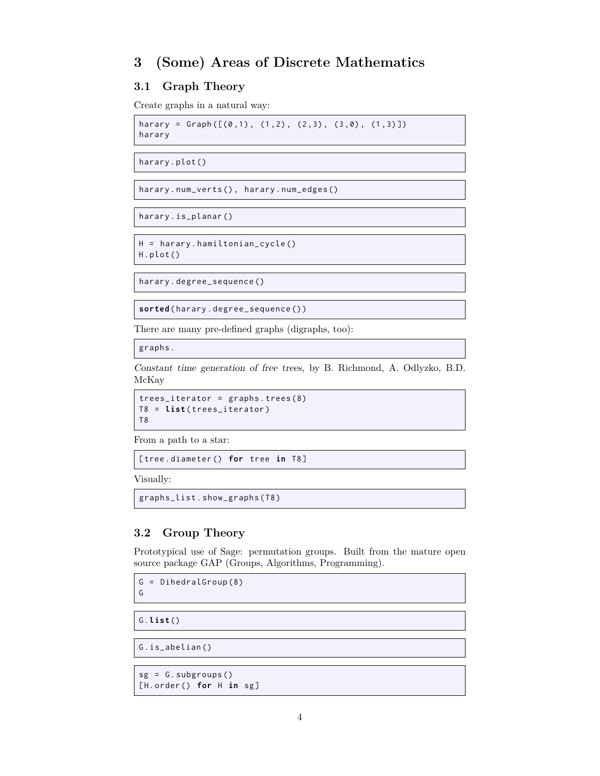# **3 (Some) Areas of Discrete Mathematics**

# **3.1 Graph Theory**

Create graphs in a natural way:

harary = Graph( $[(0,1), (1,2), (2,3), (3,0), (1,3)]$ ) harary

harary . plot ()

harary . num\_verts () , harary . num\_edges ()

harary . is\_planar ()

```
H = harary . hamiltonian_cycle ()
H. plot ()
```
harary . degree\_sequence ()

**sorted** ( harary . degree\_sequence () )

There are many pre-defined graphs (digraphs, too):

graphs .

*Constant time generation of free trees*, by B. Richmond, A. Odlyzko, B.D. McKay

```
trees_iterator = graphs . trees (8)
T8 = list ( trees_iterator )
T8
```
From a path to a star:

[ tree . diameter () **for** tree **in** T8 ]

Visually:

graphs\_list . show\_graphs ( T8 )

# **3.2 Group Theory**

Prototypical use of Sage: permutation groups. Built from the mature open source package GAP (Groups, Algorithms, Programming).

G = DihedralGroup (8) G

G. **list** ()

G. is\_abelian ()

```
sg = G.subgroups()[H . order () for H in sg ]
```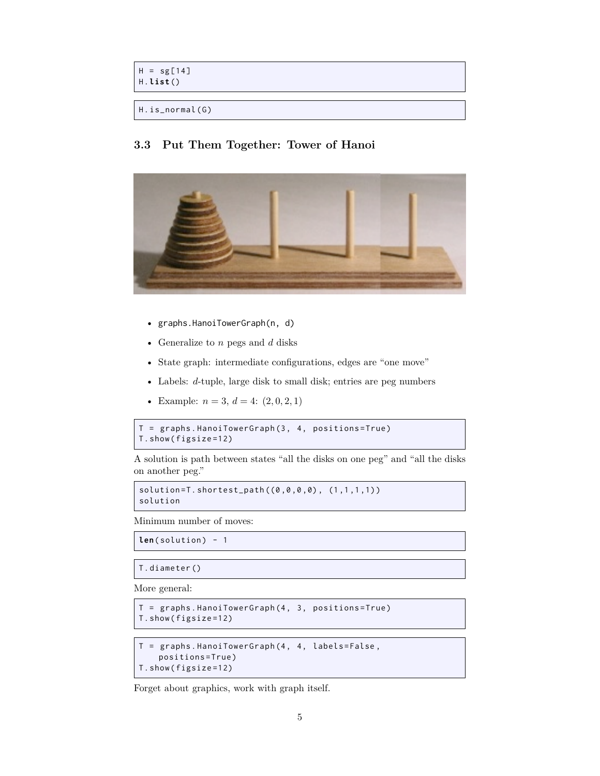```
H = sg[14]H. list ()
```

```
H.is_normal(G)
```
# **3.3 Put Them Together: Tower of Hanoi**



- graphs.HanoiTowerGraph(n, d)
- Generalize to *n* pegs and *d* disks
- State graph: intermediate configurations, edges are "one move"
- Labels: *d*-tuple, large disk to small disk; entries are peg numbers
- Example:  $n = 3, d = 4$ :  $(2, 0, 2, 1)$

```
T = graphs . HanoiTowerGraph (3 , 4 , positions = True )
T. show ( figsize =12)
```
A solution is path between states "all the disks on one peg" and "all the disks on another peg."

```
solution = T.shortest\_path((0, 0, 0, 0), (1, 1, 1, 1))solution
```
Minimum number of moves:

```
len(solution) - 1
```

```
T. diameter ()
```
More general:

```
T = graphs . HanoiTowerGraph (4 , 3 , positions = True )
T. show ( figsize =12)
```

```
T = graphs. HanoiTowerGraph (4, 4, labels=False,
    positions = True )
T. show ( figsize =12)
```
Forget about graphics, work with graph itself.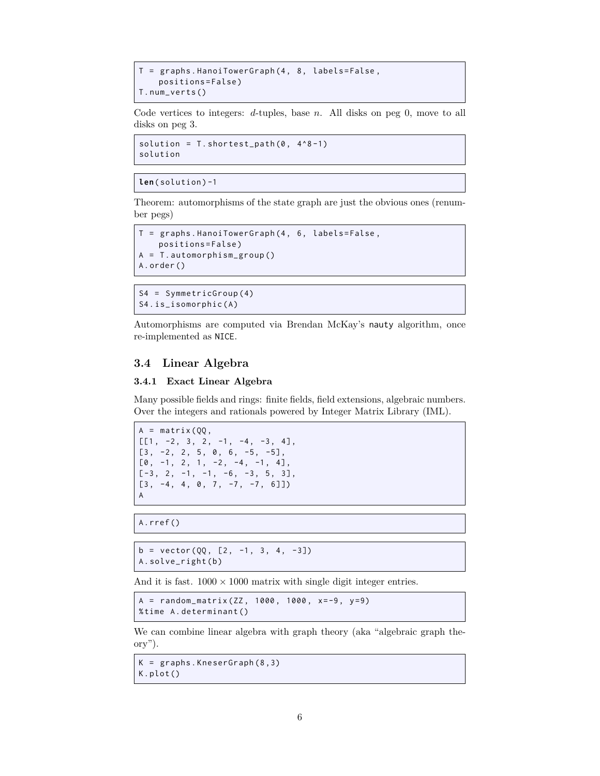```
T = graphs. HanoiTowerGraph (4, 8, labels=False,
    positions = False )
T. num_verts ()
```
Code vertices to integers: *d*-tuples, base *n*. All disks on peg 0, move to all disks on peg 3.

```
solution = T . shortest_path(0, 4^8 -1)solution
```

```
len( solution ) -1
```
Theorem: automorphisms of the state graph are just the obvious ones (renumber pegs)

```
T = graphs. HanoiTowerGraph (4, 6, labels=False,
    positions = False )
A = T . automorphism_group ()
A. order ()
```
S4 = SymmetricGroup (4) S4. is\_isomorphic(A)

Automorphisms are computed via Brendan McKay's nauty algorithm, once re-implemented as NICE.

### **3.4 Linear Algebra**

#### **3.4.1 Exact Linear Algebra**

Many possible fields and rings: finite fields, field extensions, algebraic numbers. Over the integers and rationals powered by Integer Matrix Library (IML).

```
A = matrix (QQ,[[1, -2, 3, 2, -1, -4, -3, 4],[3, -2, 2, 5, 0, 6, -5, -5],[0, -1, 2, 1, -2, -4, -1, 4],[-3, 2, -1, -1, -6, -3, 5, 3],[3, -4, 4, 0, 7, -7, -7, 6]]A
```
A. rref ()

```
b = vector(QQ, [2, -1, 3, 4, -3])A. solve_right ( b )
```
And it is fast.  $1000 \times 1000$  matrix with single digit integer entries.

```
A = random_matrix (ZZ, 1000, 1000, x=-9, y=9)% time A . determinant ()
```
We can combine linear algebra with graph theory (aka "algebraic graph theory").

```
K = graphs . KneserGraph (8 ,3)
K. plot ()
```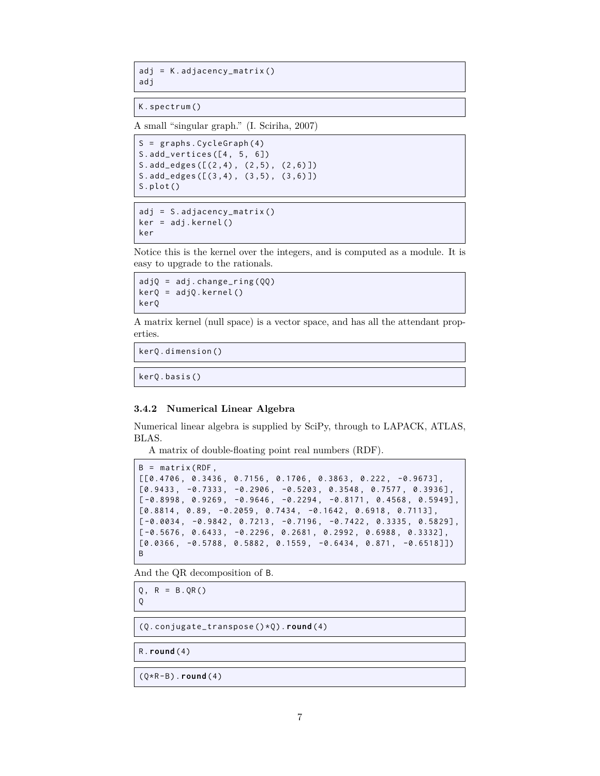adj = K . adjacency\_matrix () adj

K. spectrum ()

A small "singular graph." (I. Sciriha, 2007)

S = graphs . CycleGraph (4) S. add\_vertices  $([4, 5, 6])$ S. add\_edges ([(2 ,4) , (2 ,5) , (2 ,6) ]) S. add\_edges ([(3 ,4) , (3 ,5) , (3 ,6) ]) S. plot ()

```
adj = S.addjacency_matrix()ker = adj . kernel ()
ker
```
Notice this is the kernel over the integers, and is computed as a module. It is easy to upgrade to the rationals.

```
adjQ = adj.changc_ring(QQ)kerQ = adjQ. kernel()
kerQ
```
A matrix kernel (null space) is a vector space, and has all the attendant properties.

kerQ . dimension ()

kerQ . basis ()

#### **3.4.2 Numerical Linear Algebra**

Numerical linear algebra is supplied by SciPy, through to LAPACK, ATLAS, BLAS.

A matrix of double-floating point real numbers (RDF).

```
B = matrix (RDF,[[0.4706 , 0.3436 , 0.7156 , 0.1706 , 0.3863 , 0.222 , -0.9673] ,
[0.9433, -0.7333, -0.2906, -0.5203, 0.3548, 0.7577, 0.3936],[-0.8998, 0.9269, -0.9646, -0.2294, -0.8171, 0.4568, 0.5949],[0.8814, 0.89, -0.2059, 0.7434, -0.1642, 0.6918, 0.7113],[-0.0034, -0.9842, 0.7213, -0.7196, -0.7422, 0.3335, 0.5829],[-0.5676, 0.6433, -0.2296, 0.2681, 0.2992, 0.6988, 0.3332],[0.0366, -0.5788, 0.5882, 0.1559, -0.6434, 0.871, -0.6518]]B
```
And the QR decomposition of B.

 $Q, R = B.$  QR() Q

(Q . conjugate\_transpose () \* Q ) . **round** (4)

R. **round** (4)

(Q \*R - B ) . **round** (4)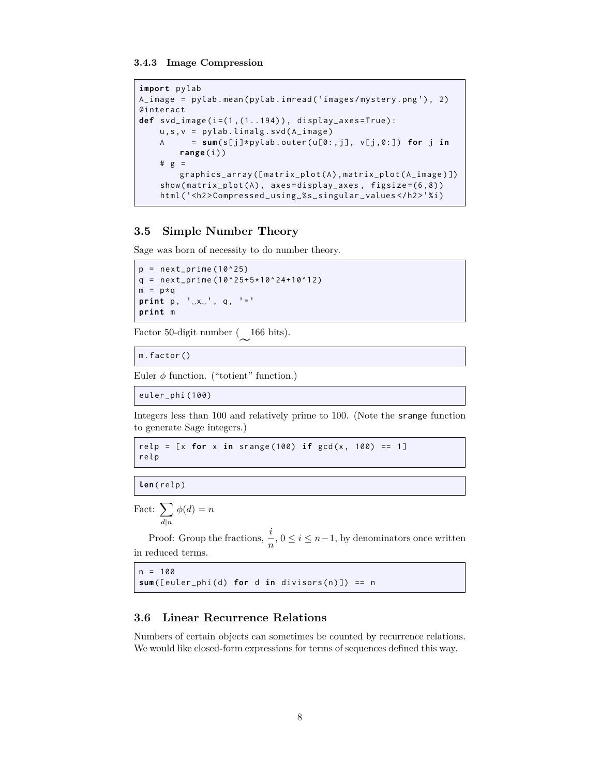**3.4.3 Image Compression**

```
import pylab
A_image = pylab.mean(pylab.imread('images/mystery.png'), 2)
@interact
def svd_image ( i =(1 ,(1..194) ) , display_axes = True ) :
    u, s, v = pylab. linalg. svd(A_i)image)
    A = sum (s [ j ]* pylab . outer ( u [0: , j ] , v [j ,0:]) for j in
        range (i ) )
    # g =graphics_array ([matrix_plot(A), matrix_plot(A_image)])
    show(matrix_plot(A), axes=display_axes), figsize=(6,8)html ( ' <h2 > Compressed ␣ using ␣ % s ␣ singular ␣ values </ h2 > ' % i )
```
# **3.5 Simple Number Theory**

Sage was born of necessity to do number theory.

```
p = next_prime(10^225)q = next\_prime (10^25+5*10^24+10^212)m = p \star qprint p, ' _x`'_', q, ' ='print m
```
Factor 50-digit number (166 bits).

m. factor ()

Euler  $\phi$  function. ("totient" function.)

euler\_phi (100)

Integers less than 100 and relatively prime to 100. (Note the srange function to generate Sage integers.)

```
relp = [x for x in strange (100) if gcd(x, 100) == 1]relp
```
**len**( relp )

```
Fact: \sum \phi(d) = nd|n
```
Proof: Group the fractions,  $\frac{i}{n}$ ,  $0 \le i \le n-1$ , by denominators once written in reduced terms.

```
n = 100sum([euler\_phi ( d) for d in divisors(n)]) == n
```
#### **3.6 Linear Recurrence Relations**

Numbers of certain objects can sometimes be counted by recurrence relations. We would like closed-form expressions for terms of sequences defined this way.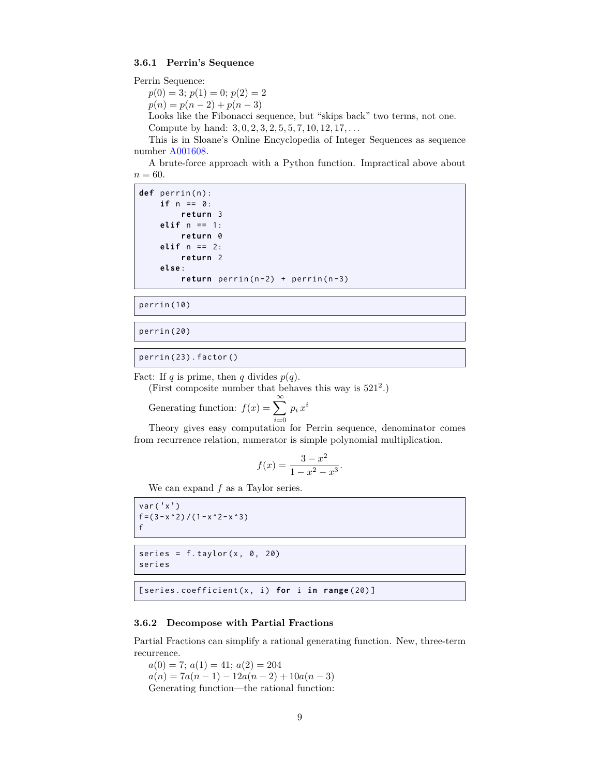#### **3.6.1 Perrin's Sequence**

```
Perrin Sequence:
```
 $p(0) = 3$ ;  $p(1) = 0$ ;  $p(2) = 2$ 

 $p(n) = p(n-2) + p(n-3)$ 

Looks like the Fibonacci sequence, but "skips back" two terms, not one. Compute by hand: 3*,* 0*,* 2*,* 3*,* 2*,* 5*,* 5*,* 7*,* 10*,* 12*,* 17*, . . .*

This is in Sloane's Online Encyclopedia of Integer Sequences as sequence number [A001608](http://oeis.org/A001608).

A brute-force approach with a Python function. Impractical above about  $n = 60.$ 

def perrin(n): **if** n == 0: **return** 3 **elif** n == 1: **return** 0 **elif** n == 2: **return** 2 **else** : return perrin (n-2) + perrin (n-3)

perrin (10)

perrin (20)

perrin (23) . factor ()

Fact: If *q* is prime, then *q* divides  $p(q)$ .

(First composite number that behaves this way is  $521^2$ .)

Generating function:  $f(x) = \sum_{n=0}^{\infty}$ *i*=0  $p_i\,x^i$ 

Theory gives easy computation for Perrin sequence, denominator comes from recurrence relation, numerator is simple polynomial multiplication.

$$
f(x) = \frac{3 - x^2}{1 - x^2 - x^3}.
$$

We can expand *f* as a Taylor series.

```
var('x')f = (3 - x^2) / (1 - x^2 - x^3)f
```

```
series = f.taylor(x, 0, 20)series
```
[series.coefficient(x, i) for i in range(20)]

#### **3.6.2 Decompose with Partial Fractions**

Partial Fractions can simplify a rational generating function. New, three-term recurrence.

 $a(0) = 7$ ;  $a(1) = 41$ ;  $a(2) = 204$  $a(n) = 7a(n-1) - 12a(n-2) + 10a(n-3)$ Generating function—the rational function: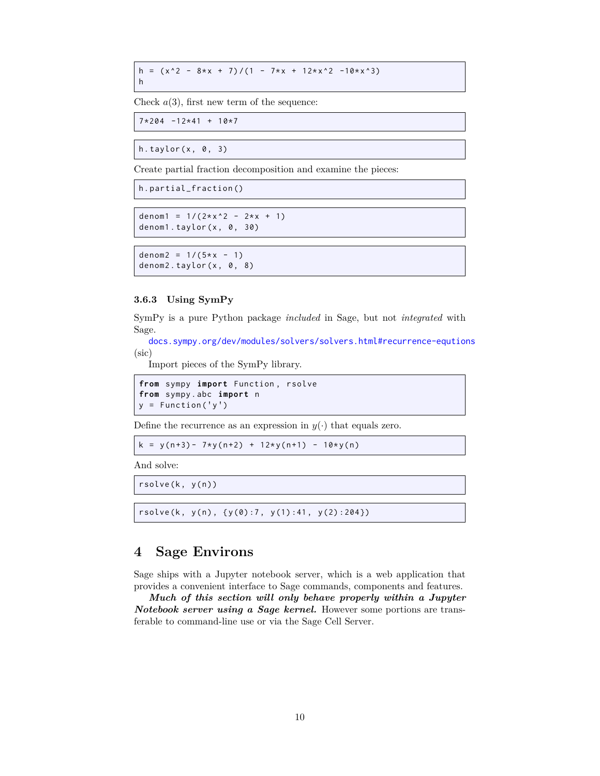h =  $(x^2 - 8*x + 7)/(1 - 7*x + 12*x^2 -10*x^3)$ h

Check  $a(3)$ , first new term of the sequence:

```
7*204 -12*41 + 10*7
```
h.taylor $(x, 0, 3)$ 

Create partial fraction decomposition and examine the pieces:

```
h. partial_fraction ()
```

```
denom1 = 1/(2*x^2 - 2*x + 1)denom1.taylor(x, 0, 30)
```

```
denom2 = 1/(5*x - 1)denom2.taylor(x, 0, 8)
```
#### **3.6.3 Using SymPy**

SymPy is a pure Python package *included* in Sage, but not *integrated* with Sage.

[docs.sympy.org/dev/modules/solvers/solvers.html#recurrence-equtions](http://docs.sympy.org/dev/modules/solvers/solvers.html#recurrence-equtions) (sic)

Import pieces of the SymPy library.

```
from sympy import Function , rsolve
from sympy . abc import n
y = Function ('y')
```
Define the recurrence as an expression in  $y(\cdot)$  that equals zero.

 $k = y(n+3) - 7*y(n+2) + 12*y(n+1) - 10*y(n)$ 

And solve:

 $rsolve(k, y(n))$ 

 $rsolve (k, y(n), \{y(0):7, y(1):41, y(2):204\})$ 

# **4 Sage Environs**

Sage ships with a Jupyter notebook server, which is a web application that provides a convenient interface to Sage commands, components and features.

*Much of this section will only behave properly within a Jupyter Notebook server using a Sage kernel.* However some portions are transferable to command-line use or via the Sage Cell Server.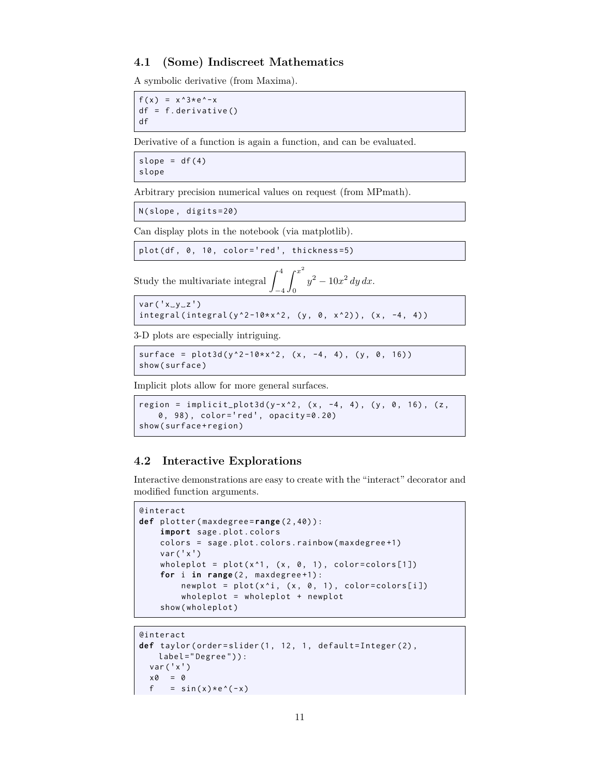#### **4.1 (Some) Indiscreet Mathematics**

A symbolic derivative (from Maxima).

 $f(x) = x^3 + e^x - x$  $df = f$ . derivative () df

Derivative of a function is again a function, and can be evaluated.

slope =  $df(4)$ slope

Arbitrary precision numerical values on request (from MPmath).

N( slope , digits =20)

Can display plots in the notebook (via matplotlib).

```
plot (df, 0, 10, color='red', thickness=5)
```
Study the multivariate integral  $\int$ *−*4 ∫ *<sup>x</sup>* 2 0 *y* <sup>2</sup> *<sup>−</sup>* <sup>10</sup>*<sup>x</sup>* 2 *dy dx*.

 $var('x_yy_zz')$  $integral(integral(y^2 - 10*x^2, (y, 0, x^2))$ ,  $(x, -4, 4))$ 

3-D plots are especially intriguing.

```
surface = plot3d(y^2 - 10*x^2, (x, -4, 4), (y, 0, 16))show ( surface )
```
Implicit plots allow for more general surfaces.

```
region = implicit_plot3d(y-x^2, (x, -4, 4), (y, 0, 16), (z,
   0 , 98) , color = ' red ' , opacity =0.20)
show(surface+region)
```
#### **4.2 Interactive Explorations**

Interactive demonstrations are easy to create with the "interact" decorator and modified function arguments.

```
@interact
def plotter ( maxdegree = range (2 ,40) ) :
    import sage . plot . colors
    colors = sage . plot . colors . rainbow ( maxdegree +1)
    var('x')wholeplot = plot(x^1, (x, 0, 1), color=colors[1])for i in range (2 , maxdegree +1) :
        newplot = plot(x^i, (x, 0, 1), color=colors[i])wholeplot = wholeplot + newplot
    show ( wholeplot )
```

```
@interact
def taylor (order=slider (1, 12, 1, default=Integer (2),
    label = " Degree " ) ) :
  var('x')x \otimes = \otimesf = sin(x) * e^*(-x)
```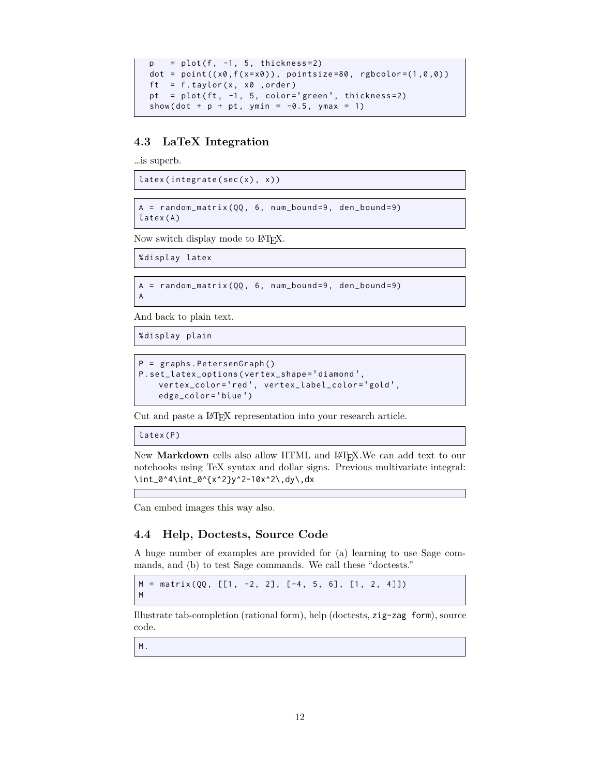```
p = plot(f, -1, 5, thickness=2)dot = point((x0, f(x=x0)), point size=80, reflection=(1,0,0))ft = f.taylor(x, x0, order)pt = plot (ft, -1, 5, color='green', thickness=2)show (dot + p + pt, ymin = -0.5, ymax = 1)
```
### **4.3 LaTeX Integration**

…is superb.

 $later(integrate (sec(x), x))$ 

 $A = random_matrix (QQ, 6, num_bound = 9, den_bound = 9)$ latex (A)

Now switch display mode to L<sup>AT</sup>FX.

% display latex

A

 $A = random_matrix (QQ, 6, num_bound = 9, den_bound = 9)$ 

And back to plain text.

```
% display plain
```

```
P = graphs . PetersenGraph ()
P. set_latex_options ( vertex_shape = ' diamond ' ,
    vertex_color = ' red ' , vertex_label_color = ' gold ' ,
    edge_color = ' blue ' )
```
Cut and paste a LATEX representation into your research article.

latex (P)

New Markdown cells also allow HTML and L<sup>AT</sup>EX. We can add text to our notebooks using TeX syntax and dollar signs. Previous multivariate integral: \int\_0^4\int\_0^{x^2}y^2-10x^2\,dy\,dx

Can embed images this way also.

#### **4.4 Help, Doctests, Source Code**

A huge number of examples are provided for (a) learning to use Sage commands, and (b) to test Sage commands. We call these "doctests."

 $M = matrix(QQ, [1, -2, 2], [-4, 5, 6], [1, 2, 4]])$ M

Illustrate tab-completion (rational form), help (doctests, zig-zag form), source code.

M.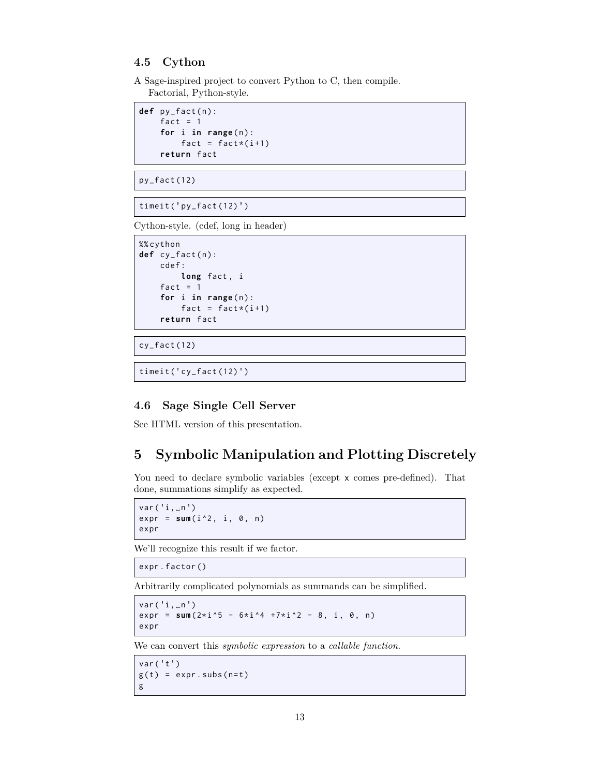#### **4.5 Cython**

A Sage-inspired project to convert Python to C, then compile. Factorial, Python-style.

```
def py_fact(n):
   fact = 1for i in range(n):
       fact = fact*(i+1)return fact
```
py\_fact (12)

 $timeit('py_factor (12)')$ 

Cython-style. (cdef, long in header)

```
%% cython
def cy_fact(n):
    cdef :
        long fact , i
    fact = 1for i in range(n):
        fact = fact*(i+1)return fact
```
cy\_fact (12)

timeit ('cy\_fact(12)')

# **4.6 Sage Single Cell Server**

See HTML version of this presentation.

# **5 Symbolic Manipulation and Plotting Discretely**

You need to declare symbolic variables (except x comes pre-defined). That done, summations simplify as expected.

```
var('i, _n')expr = sum(i^2, i, 0, n)expr
```
We'll recognize this result if we factor.

expr . factor ()

Arbitrarily complicated polynomials as summands can be simplified.

```
var ('i, \n<sub>n</sub>')expr = sum(2*i * 5 - 6*i * 4 +7*i * 2 - 8, i, 0, n)expr
```
We can convert this *symbolic expression* to a *callable function*.

```
var('t')g(t) = exp r \cdot subs(n=t)g
```